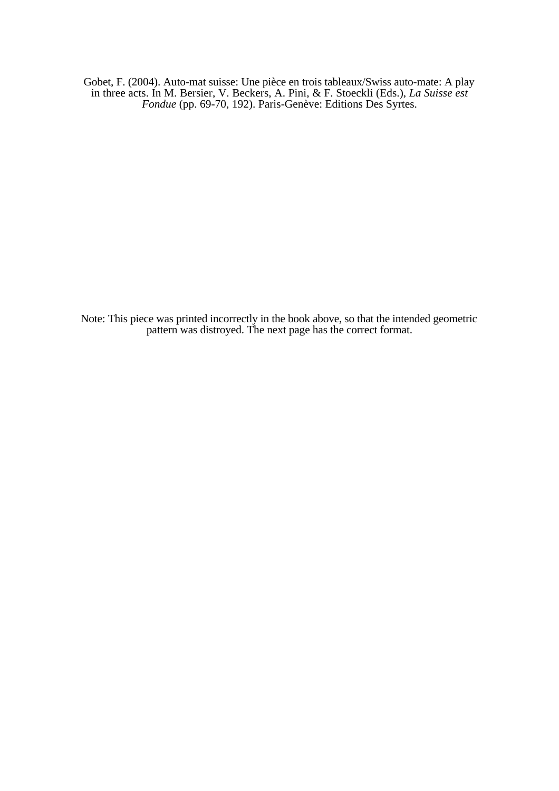Gobet, F. (2004). Auto-mat suisse: Une pièce en trois tableaux/Swiss auto-mate: A play in three acts. In M. Bersier, V. Beckers, A. Pini, & F. Stoeckli (Eds.), *La Suisse est Fondue* (pp. 69-70, 192). Paris-Genève: Editions Des Syrtes.

Note: This piece was printed incorrectly in the book above, so that the intended geometric pattern was distroyed. The next page has the correct format.